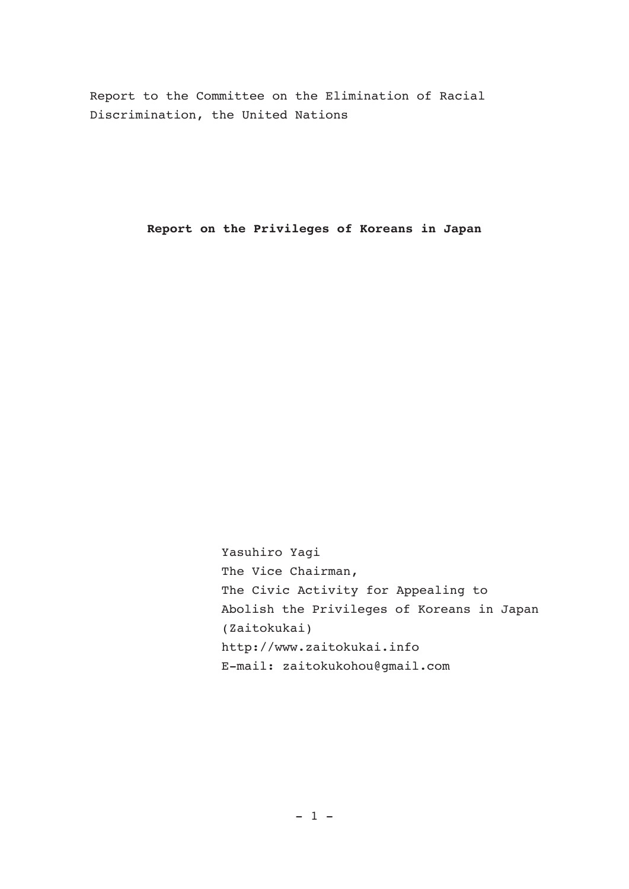Report to the Committee on the Elimination of Racial Discrimination, the United Nations

**Report on the Privileges of Koreans in Japan**

Yasuhiro Yagi The Vice Chairman, The Civic Activity for Appealing to Abolish the Privileges of Koreans in Japan (Zaitokukai) http://www.zaitokukai.info E-mail: zaitokukohou@gmail.com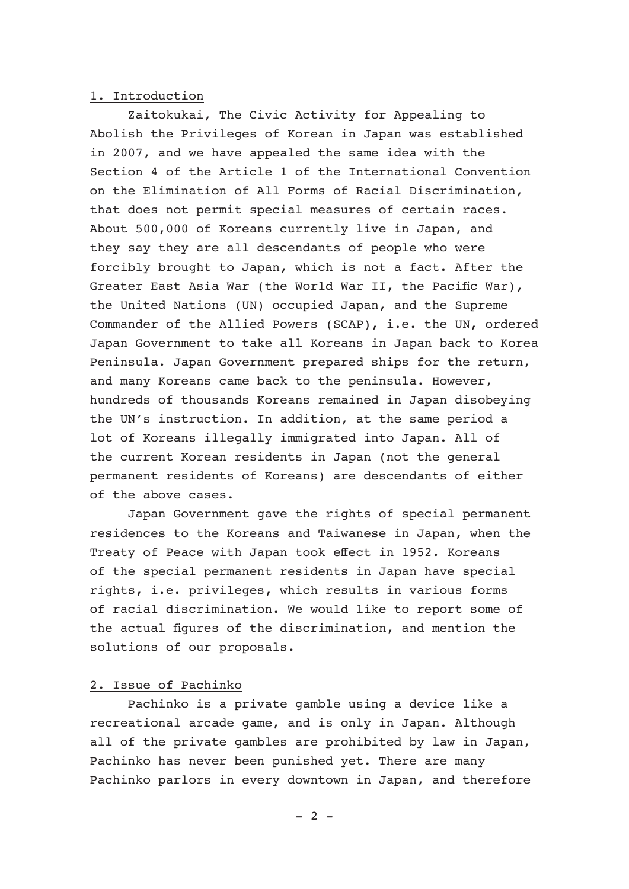## 1. Introduction

 Zaitokukai, The Civic Activity for Appealing to Abolish the Privileges of Korean in Japan was established in 2007, and we have appealed the same idea with the Section 4 of the Article 1 of the International Convention on the Elimination of All Forms of Racial Discrimination, that does not permit special measures of certain races. About 500,000 of Koreans currently live in Japan, and they say they are all descendants of people who were forcibly brought to Japan, which is not a fact. After the Greater East Asia War (the World War II, the Pacific War), the United Nations (UN) occupied Japan, and the Supreme Commander of the Allied Powers (SCAP), i.e. the UN, ordered Japan Government to take all Koreans in Japan back to Korea Peninsula. Japan Government prepared ships for the return, and many Koreans came back to the peninsula. However, hundreds of thousands Koreans remained in Japan disobeying the UN's instruction. In addition, at the same period a lot of Koreans illegally immigrated into Japan. All of the current Korean residents in Japan (not the general permanent residents of Koreans) are descendants of either of the above cases.

 Japan Government gave the rights of special permanent residences to the Koreans and Taiwanese in Japan, when the Treaty of Peace with Japan took effect in 1952. Koreans of the special permanent residents in Japan have special rights, i.e. privileges, which results in various forms of racial discrimination. We would like to report some of the actual figures of the discrimination, and mention the solutions of our proposals.

# 2. Issue of Pachinko

 Pachinko is a private gamble using a device like a recreational arcade game, and is only in Japan. Although all of the private gambles are prohibited by law in Japan, Pachinko has never been punished yet. There are many Pachinko parlors in every downtown in Japan, and therefore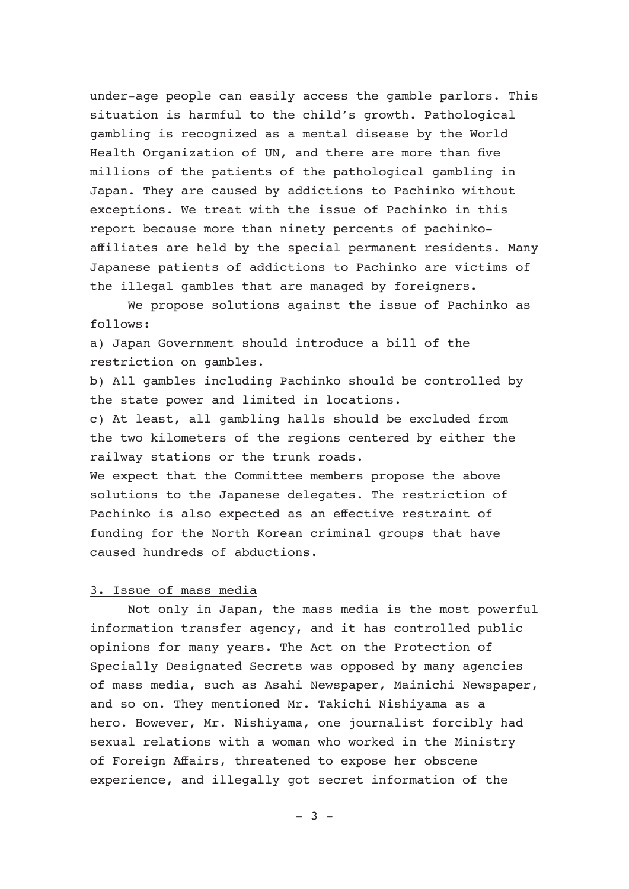under-age people can easily access the gamble parlors. This situation is harmful to the child's growth. Pathological gambling is recognized as a mental disease by the World Health Organization of UN, and there are more than five millions of the patients of the pathological gambling in Japan. They are caused by addictions to Pachinko without exceptions. We treat with the issue of Pachinko in this report because more than ninety percents of pachinkoaffiliates are held by the special permanent residents. Many Japanese patients of addictions to Pachinko are victims of the illegal gambles that are managed by foreigners.

 We propose solutions against the issue of Pachinko as follows:

a) Japan Government should introduce a bill of the restriction on gambles.

b) All gambles including Pachinko should be controlled by the state power and limited in locations.

c) At least, all gambling halls should be excluded from the two kilometers of the regions centered by either the railway stations or the trunk roads.

We expect that the Committee members propose the above solutions to the Japanese delegates. The restriction of Pachinko is also expected as an effective restraint of funding for the North Korean criminal groups that have caused hundreds of abductions.

## 3. Issue of mass media

 Not only in Japan, the mass media is the most powerful information transfer agency, and it has controlled public opinions for many years. The Act on the Protection of Specially Designated Secrets was opposed by many agencies of mass media, such as Asahi Newspaper, Mainichi Newspaper, and so on. They mentioned Mr. Takichi Nishiyama as a hero. However, Mr. Nishiyama, one journalist forcibly had sexual relations with a woman who worked in the Ministry of Foreign Affairs, threatened to expose her obscene experience, and illegally got secret information of the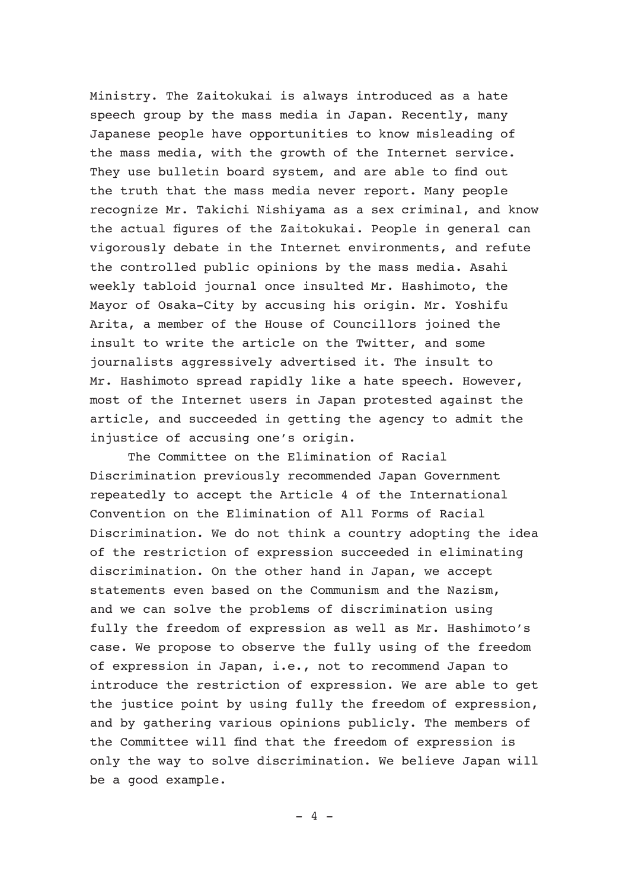Ministry. The Zaitokukai is always introduced as a hate speech group by the mass media in Japan. Recently, many Japanese people have opportunities to know misleading of the mass media, with the growth of the Internet service. They use bulletin board system, and are able to find out the truth that the mass media never report. Many people recognize Mr. Takichi Nishiyama as a sex criminal, and know the actual figures of the Zaitokukai. People in general can vigorously debate in the Internet environments, and refute the controlled public opinions by the mass media. Asahi weekly tabloid journal once insulted Mr. Hashimoto, the Mayor of Osaka-City by accusing his origin. Mr. Yoshifu Arita, a member of the House of Councillors joined the insult to write the article on the Twitter, and some journalists aggressively advertised it. The insult to Mr. Hashimoto spread rapidly like a hate speech. However, most of the Internet users in Japan protested against the article, and succeeded in getting the agency to admit the injustice of accusing one's origin.

 The Committee on the Elimination of Racial Discrimination previously recommended Japan Government repeatedly to accept the Article 4 of the International Convention on the Elimination of All Forms of Racial Discrimination. We do not think a country adopting the idea of the restriction of expression succeeded in eliminating discrimination. On the other hand in Japan, we accept statements even based on the Communism and the Nazism, and we can solve the problems of discrimination using fully the freedom of expression as well as Mr. Hashimoto's case. We propose to observe the fully using of the freedom of expression in Japan, i.e., not to recommend Japan to introduce the restriction of expression. We are able to get the justice point by using fully the freedom of expression, and by gathering various opinions publicly. The members of the Committee will find that the freedom of expression is only the way to solve discrimination. We believe Japan will be a good example.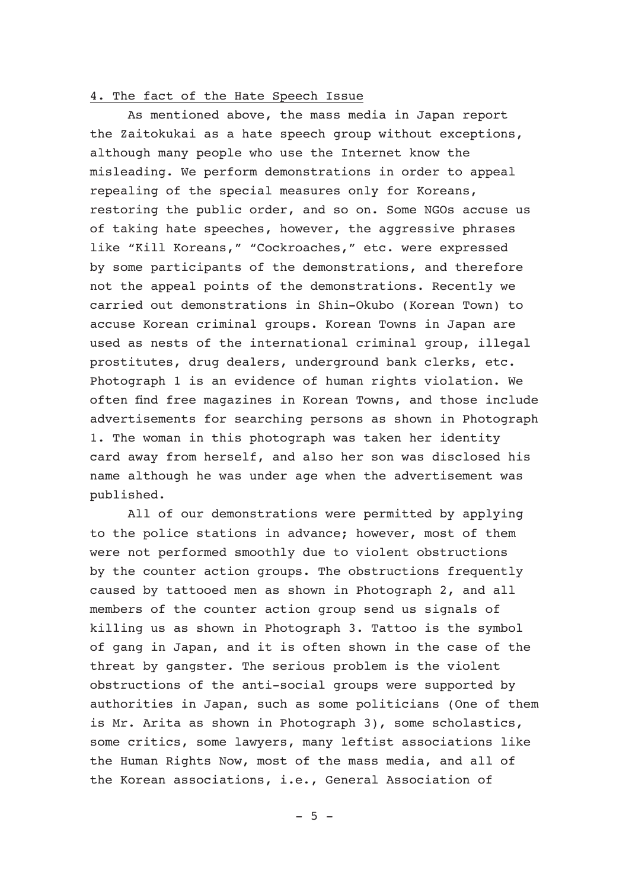#### 4. The fact of the Hate Speech Issue

 As mentioned above, the mass media in Japan report the Zaitokukai as a hate speech group without exceptions, although many people who use the Internet know the misleading. We perform demonstrations in order to appeal repealing of the special measures only for Koreans, restoring the public order, and so on. Some NGOs accuse us of taking hate speeches, however, the aggressive phrases like "Kill Koreans," "Cockroaches," etc. were expressed by some participants of the demonstrations, and therefore not the appeal points of the demonstrations. Recently we carried out demonstrations in Shin-Okubo (Korean Town) to accuse Korean criminal groups. Korean Towns in Japan are used as nests of the international criminal group, illegal prostitutes, drug dealers, underground bank clerks, etc. Photograph 1 is an evidence of human rights violation. We often find free magazines in Korean Towns, and those include advertisements for searching persons as shown in Photograph 1. The woman in this photograph was taken her identity card away from herself, and also her son was disclosed his name although he was under age when the advertisement was published.

 All of our demonstrations were permitted by applying to the police stations in advance; however, most of them were not performed smoothly due to violent obstructions by the counter action groups. The obstructions frequently caused by tattooed men as shown in Photograph 2, and all members of the counter action group send us signals of killing us as shown in Photograph 3. Tattoo is the symbol of gang in Japan, and it is often shown in the case of the threat by gangster. The serious problem is the violent obstructions of the anti-social groups were supported by authorities in Japan, such as some politicians (One of them is Mr. Arita as shown in Photograph 3), some scholastics, some critics, some lawyers, many leftist associations like the Human Rights Now, most of the mass media, and all of the Korean associations, i.e., General Association of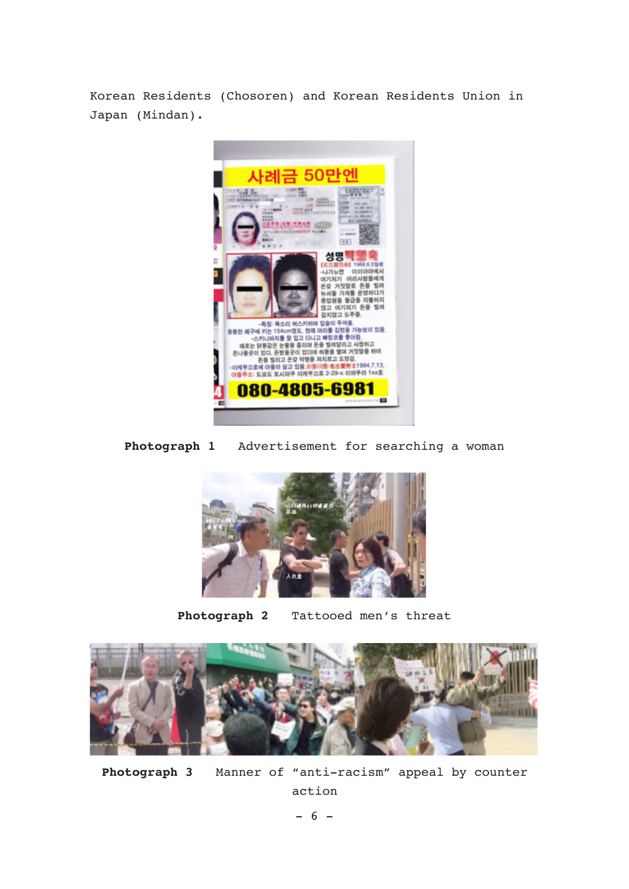Korean Residents (Chosoren) and Korean Residents Union in Japan (Mindan).



**Photograph 1** Advertisement for searching a woman



**Photograph 2** Tattooed men's threat



**Photograph 3** Manner of "anti-racism" appeal by counter action

 $- 6 -$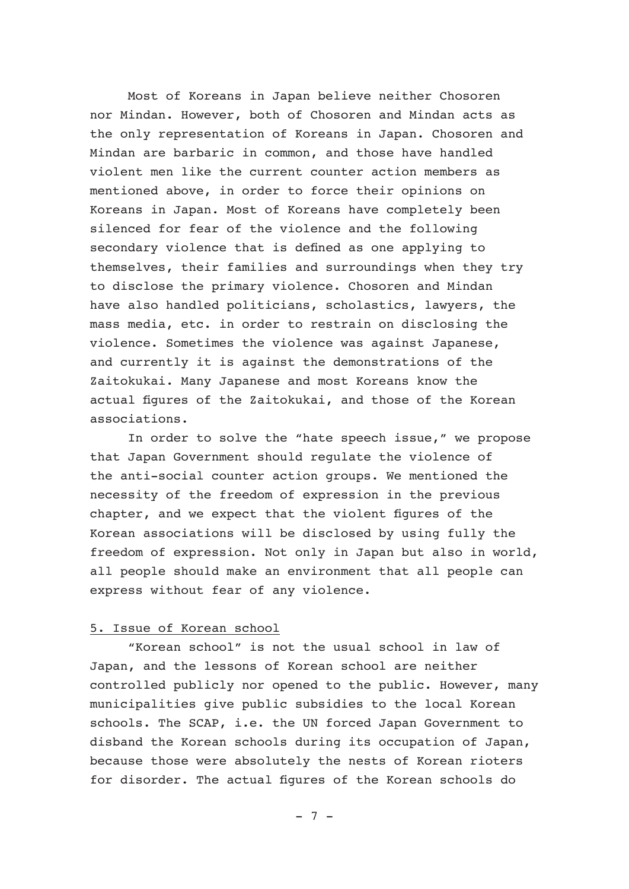Most of Koreans in Japan believe neither Chosoren nor Mindan. However, both of Chosoren and Mindan acts as the only representation of Koreans in Japan. Chosoren and Mindan are barbaric in common, and those have handled violent men like the current counter action members as mentioned above, in order to force their opinions on Koreans in Japan. Most of Koreans have completely been silenced for fear of the violence and the following secondary violence that is defined as one applying to themselves, their families and surroundings when they try to disclose the primary violence. Chosoren and Mindan have also handled politicians, scholastics, lawyers, the mass media, etc. in order to restrain on disclosing the violence. Sometimes the violence was against Japanese, and currently it is against the demonstrations of the Zaitokukai. Many Japanese and most Koreans know the actual figures of the Zaitokukai, and those of the Korean associations.

 In order to solve the "hate speech issue," we propose that Japan Government should regulate the violence of the anti-social counter action groups. We mentioned the necessity of the freedom of expression in the previous chapter, and we expect that the violent figures of the Korean associations will be disclosed by using fully the freedom of expression. Not only in Japan but also in world, all people should make an environment that all people can express without fear of any violence.

# 5. Issue of Korean school

 "Korean school" is not the usual school in law of Japan, and the lessons of Korean school are neither controlled publicly nor opened to the public. However, many municipalities give public subsidies to the local Korean schools. The SCAP, i.e. the UN forced Japan Government to disband the Korean schools during its occupation of Japan, because those were absolutely the nests of Korean rioters for disorder. The actual figures of the Korean schools do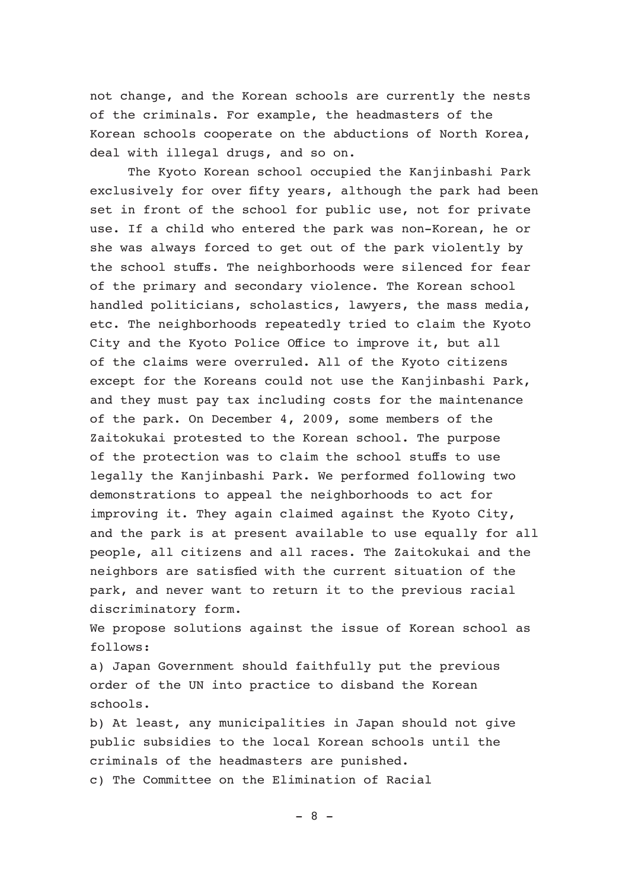not change, and the Korean schools are currently the nests of the criminals. For example, the headmasters of the Korean schools cooperate on the abductions of North Korea, deal with illegal drugs, and so on.

 The Kyoto Korean school occupied the Kanjinbashi Park exclusively for over fifty years, although the park had been set in front of the school for public use, not for private use. If a child who entered the park was non-Korean, he or she was always forced to get out of the park violently by the school stuffs. The neighborhoods were silenced for fear of the primary and secondary violence. The Korean school handled politicians, scholastics, lawyers, the mass media, etc. The neighborhoods repeatedly tried to claim the Kyoto City and the Kyoto Police Office to improve it, but all of the claims were overruled. All of the Kyoto citizens except for the Koreans could not use the Kanjinbashi Park, and they must pay tax including costs for the maintenance of the park. On December 4, 2009, some members of the Zaitokukai protested to the Korean school. The purpose of the protection was to claim the school stuffs to use legally the Kanjinbashi Park. We performed following two demonstrations to appeal the neighborhoods to act for improving it. They again claimed against the Kyoto City, and the park is at present available to use equally for all people, all citizens and all races. The Zaitokukai and the neighbors are satisfied with the current situation of the park, and never want to return it to the previous racial discriminatory form.

We propose solutions against the issue of Korean school as follows:

a) Japan Government should faithfully put the previous order of the UN into practice to disband the Korean schools.

b) At least, any municipalities in Japan should not give public subsidies to the local Korean schools until the criminals of the headmasters are punished. c) The Committee on the Elimination of Racial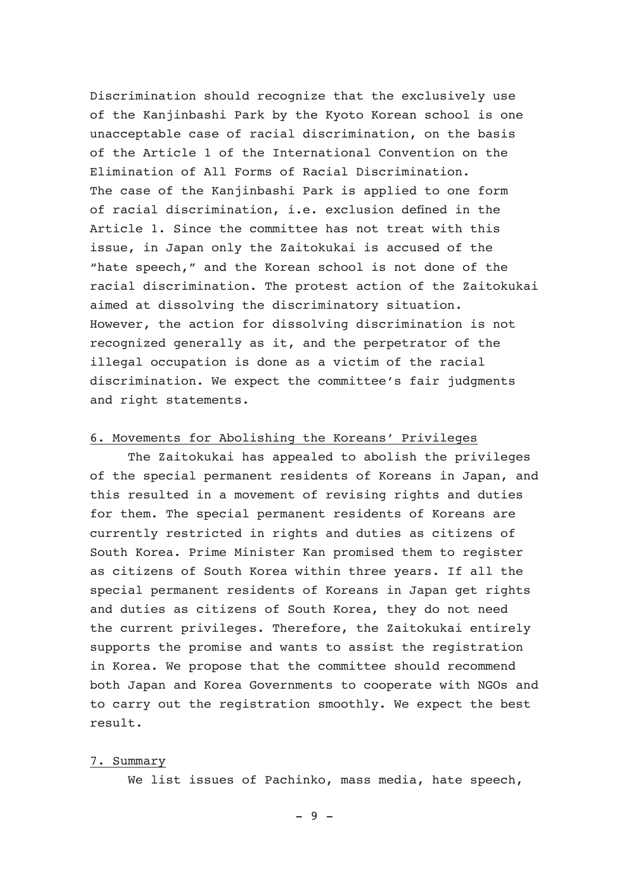Discrimination should recognize that the exclusively use of the Kanjinbashi Park by the Kyoto Korean school is one unacceptable case of racial discrimination, on the basis of the Article 1 of the International Convention on the Elimination of All Forms of Racial Discrimination. The case of the Kanjinbashi Park is applied to one form of racial discrimination, i.e. exclusion defined in the Article 1. Since the committee has not treat with this issue, in Japan only the Zaitokukai is accused of the "hate speech," and the Korean school is not done of the racial discrimination. The protest action of the Zaitokukai aimed at dissolving the discriminatory situation. However, the action for dissolving discrimination is not recognized generally as it, and the perpetrator of the illegal occupation is done as a victim of the racial discrimination. We expect the committee's fair judgments and right statements.

#### 6. Movements for Abolishing the Koreans' Privileges

 The Zaitokukai has appealed to abolish the privileges of the special permanent residents of Koreans in Japan, and this resulted in a movement of revising rights and duties for them. The special permanent residents of Koreans are currently restricted in rights and duties as citizens of South Korea. Prime Minister Kan promised them to register as citizens of South Korea within three years. If all the special permanent residents of Koreans in Japan get rights and duties as citizens of South Korea, they do not need the current privileges. Therefore, the Zaitokukai entirely supports the promise and wants to assist the registration in Korea. We propose that the committee should recommend both Japan and Korea Governments to cooperate with NGOs and to carry out the registration smoothly. We expect the best result.

# 7. Summary

We list issues of Pachinko, mass media, hate speech,

 $-9 -$